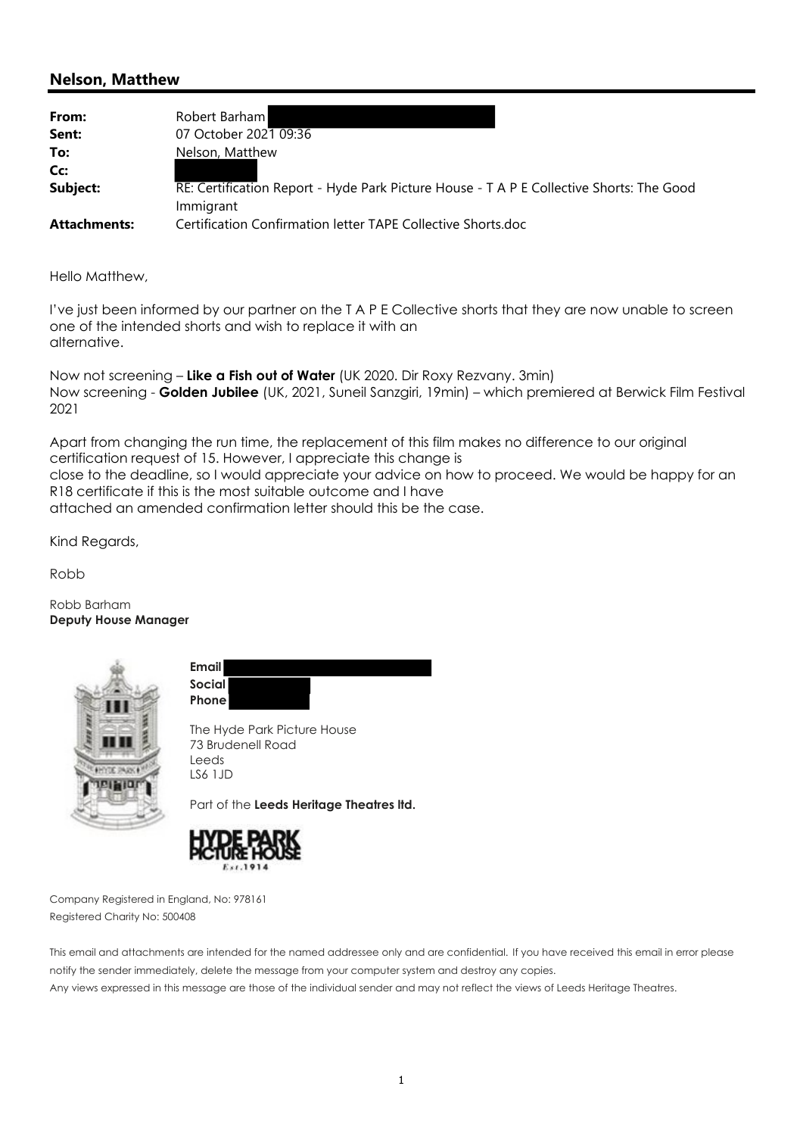## **Nelson, Matthew**

| From:               | Robert Barham                                                                                         |
|---------------------|-------------------------------------------------------------------------------------------------------|
| Sent:               | 07 October 2021 09:36                                                                                 |
| To:                 | Nelson, Matthew                                                                                       |
| Cc:                 |                                                                                                       |
| Subject:            | RE: Certification Report - Hyde Park Picture House - T A P E Collective Shorts: The Good<br>Immigrant |
| <b>Attachments:</b> | Certification Confirmation letter TAPE Collective Shorts.doc                                          |

Hello Matthew,

I've just been informed by our partner on the T A P E Collective shorts that they are now unable to screen one of the intended shorts and wish to replace it with an alternative.

Now not screening – **Like a Fish out of Water** (UK 2020. Dir Roxy Rezvany. 3min) Now screening - **Golden Jubilee** (UK, 2021, Suneil Sanzgiri, 19min) – which premiered at Berwick Film Festival 2021

Apart from changing the run time, the replacement of this film makes no difference to our original certification request of 15. However, I appreciate this change is close to the deadline, so I would appreciate your advice on how to proceed. We would be happy for an R18 certificate if this is the most suitable outcome and I have attached an amended confirmation letter should this be the case.

Kind Regards,

Robb

Robb Barham **Deputy House Manager** 



**Email Social Phone**

The Hyde Park Picture House 73 Brudenell Road Leeds LS6 1JD

Part of the **Leeds Heritage Theatres ltd.** 



Company Registered in England, No: 978161 Registered Charity No: 500408

This email and attachments are intended for the named addressee only and are confidential. If you have received this email in error please notify the sender immediately, delete the message from your computer system and destroy any copies.